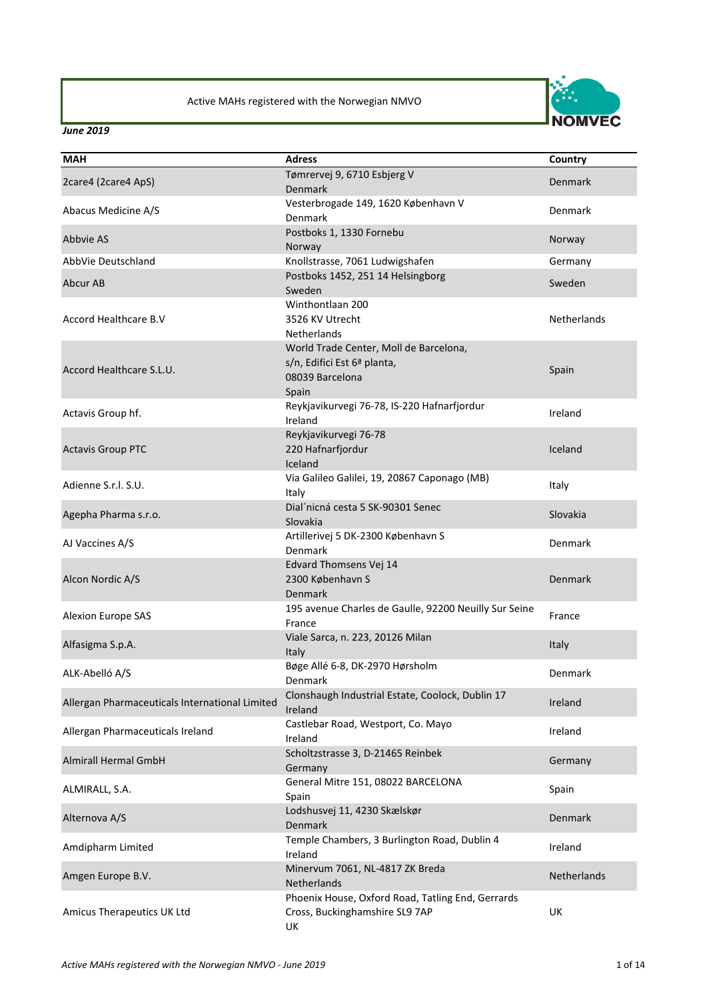

| <b>MAH</b>                                     | <b>Adress</b>                                         | Country        |
|------------------------------------------------|-------------------------------------------------------|----------------|
| 2care4 (2care4 ApS)                            | Tømrervej 9, 6710 Esbjerg V                           | <b>Denmark</b> |
|                                                | <b>Denmark</b>                                        |                |
| Abacus Medicine A/S                            | Vesterbrogade 149, 1620 København V                   | Denmark        |
|                                                | <b>Denmark</b>                                        |                |
| Abbvie AS                                      | Postboks 1, 1330 Fornebu                              | Norway         |
|                                                | Norway                                                |                |
| AbbVie Deutschland                             | Knollstrasse, 7061 Ludwigshafen                       | Germany        |
| Abcur AB                                       | Postboks 1452, 251 14 Helsingborg<br>Sweden           | Sweden         |
|                                                | Winthontlaan 200                                      |                |
| Accord Healthcare B.V                          | 3526 KV Utrecht                                       | Netherlands    |
|                                                | Netherlands                                           |                |
|                                                | World Trade Center, Moll de Barcelona,                |                |
|                                                | s/n, Edifici Est 6ª planta,                           |                |
| Accord Healthcare S.L.U.                       | 08039 Barcelona                                       | Spain          |
|                                                | Spain                                                 |                |
|                                                | Reykjavikurvegi 76-78, IS-220 Hafnarfjordur           |                |
| Actavis Group hf.                              | Ireland                                               | Ireland        |
|                                                | Reykjavikurvegi 76-78                                 |                |
| <b>Actavis Group PTC</b>                       | 220 Hafnarfjordur                                     | Iceland        |
|                                                | Iceland                                               |                |
| Adienne S.r.I. S.U.                            | Via Galileo Galilei, 19, 20867 Caponago (MB)          |                |
|                                                | Italy                                                 | Italy          |
| Agepha Pharma s.r.o.                           | Dial'nicná cesta 5 SK-90301 Senec                     | Slovakia       |
|                                                | Slovakia                                              |                |
| AJ Vaccines A/S                                | Artillerivej 5 DK-2300 København S                    | Denmark        |
|                                                | Denmark                                               |                |
|                                                | Edvard Thomsens Vej 14                                |                |
| Alcon Nordic A/S                               | 2300 København S                                      | <b>Denmark</b> |
|                                                | Denmark                                               |                |
| Alexion Europe SAS                             | 195 avenue Charles de Gaulle, 92200 Neuilly Sur Seine | France         |
|                                                | France                                                |                |
| Alfasigma S.p.A.                               | Viale Sarca, n. 223, 20126 Milan                      | <b>Italy</b>   |
|                                                | Italy<br>Bøge Allé 6-8, DK-2970 Hørsholm              |                |
| ALK-Abelló A/S                                 | Denmark                                               | Denmark        |
|                                                | Clonshaugh Industrial Estate, Coolock, Dublin 17      |                |
| Allergan Pharmaceuticals International Limited | Ireland                                               | Ireland        |
|                                                | Castlebar Road, Westport, Co. Mayo                    |                |
| Allergan Pharmaceuticals Ireland               | Ireland                                               | Ireland        |
|                                                | Scholtzstrasse 3, D-21465 Reinbek                     |                |
| <b>Almirall Hermal GmbH</b>                    | Germany                                               | Germany        |
|                                                | General Mitre 151, 08022 BARCELONA                    |                |
| ALMIRALL, S.A.                                 | Spain                                                 | Spain          |
|                                                | Lodshusvej 11, 4230 Skælskør                          | <b>Denmark</b> |
| Alternova A/S                                  | <b>Denmark</b>                                        |                |
| Amdipharm Limited                              | Temple Chambers, 3 Burlington Road, Dublin 4          | Ireland        |
|                                                | Ireland                                               |                |
| Amgen Europe B.V.                              | Minervum 7061, NL-4817 ZK Breda                       | Netherlands    |
|                                                | Netherlands                                           |                |
|                                                | Phoenix House, Oxford Road, Tatling End, Gerrards     |                |
| Amicus Therapeutics UK Ltd                     | Cross, Buckinghamshire SL9 7AP                        | UK             |
|                                                | UK                                                    |                |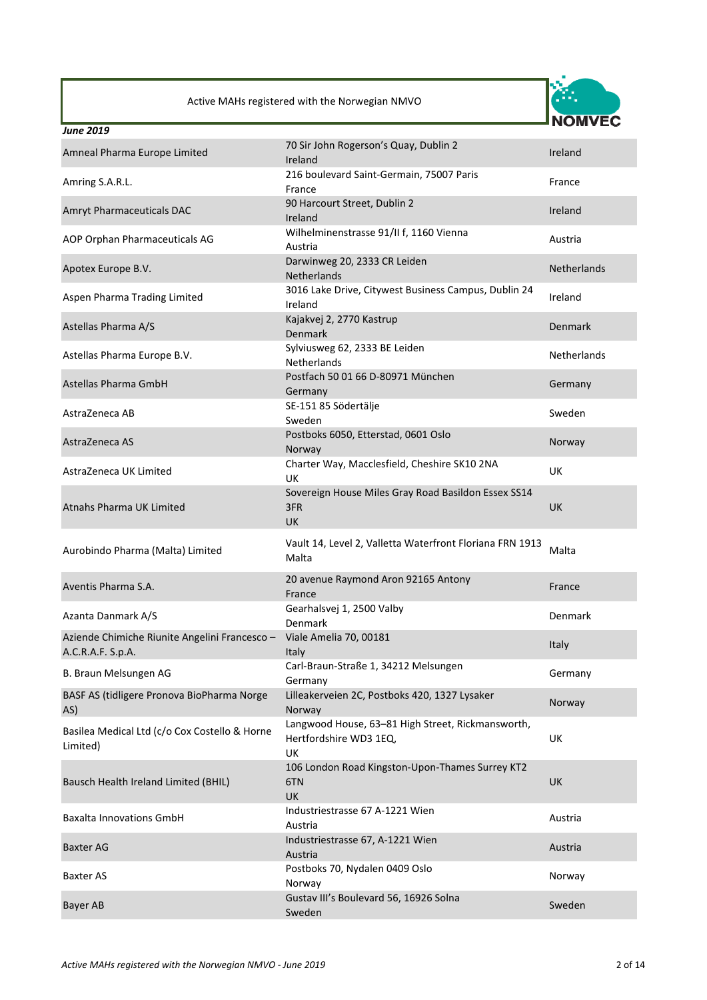

| <b>June 2019</b>                                                   |                                                                                   |                    |
|--------------------------------------------------------------------|-----------------------------------------------------------------------------------|--------------------|
| Amneal Pharma Europe Limited                                       | 70 Sir John Rogerson's Quay, Dublin 2<br>Ireland                                  | Ireland            |
| Amring S.A.R.L.                                                    | 216 boulevard Saint-Germain, 75007 Paris<br>France                                | France             |
| Amryt Pharmaceuticals DAC                                          | 90 Harcourt Street, Dublin 2<br>Ireland                                           | Ireland            |
| AOP Orphan Pharmaceuticals AG                                      | Wilhelminenstrasse 91/II f, 1160 Vienna<br>Austria                                | Austria            |
| Apotex Europe B.V.                                                 | Darwinweg 20, 2333 CR Leiden<br>Netherlands                                       | <b>Netherlands</b> |
| Aspen Pharma Trading Limited                                       | 3016 Lake Drive, Citywest Business Campus, Dublin 24<br>Ireland                   | Ireland            |
| Astellas Pharma A/S                                                | Kajakvej 2, 2770 Kastrup<br><b>Denmark</b>                                        | Denmark            |
| Astellas Pharma Europe B.V.                                        | Sylviusweg 62, 2333 BE Leiden<br><b>Netherlands</b>                               | Netherlands        |
| Astellas Pharma GmbH                                               | Postfach 50 01 66 D-80971 München<br>Germany                                      | Germany            |
| AstraZeneca AB                                                     | SE-151 85 Södertälje<br>Sweden                                                    | Sweden             |
| AstraZeneca AS                                                     | Postboks 6050, Etterstad, 0601 Oslo<br>Norway                                     | Norway             |
| AstraZeneca UK Limited                                             | Charter Way, Macclesfield, Cheshire SK10 2NA<br>UK.                               | <b>UK</b>          |
| Atnahs Pharma UK Limited                                           | Sovereign House Miles Gray Road Basildon Essex SS14<br>3FR<br><b>UK</b>           | <b>UK</b>          |
| Aurobindo Pharma (Malta) Limited                                   | Vault 14, Level 2, Valletta Waterfront Floriana FRN 1913<br>Malta                 | Malta              |
| Aventis Pharma S.A.                                                | 20 avenue Raymond Aron 92165 Antony<br>France                                     | France             |
| Azanta Danmark A/S                                                 | Gearhalsvej 1, 2500 Valby<br>Denmark                                              | Denmark            |
| Aziende Chimiche Riunite Angelini Francesco -<br>A.C.R.A.F. S.p.A. | Viale Amelia 70, 00181<br><b>Italy</b>                                            | Italy              |
| B. Braun Melsungen AG                                              | Carl-Braun-Straße 1, 34212 Melsungen<br>Germany                                   | Germany            |
| BASF AS (tidligere Pronova BioPharma Norge<br>AS)                  | Lilleakerveien 2C, Postboks 420, 1327 Lysaker<br>Norway                           | Norway             |
| Basilea Medical Ltd (c/o Cox Costello & Horne<br>Limited)          | Langwood House, 63-81 High Street, Rickmansworth,<br>Hertfordshire WD3 1EQ,<br>UK | UK                 |
| Bausch Health Ireland Limited (BHIL)                               | 106 London Road Kingston-Upon-Thames Surrey KT2<br>6TN<br>UK                      | <b>UK</b>          |
| <b>Baxalta Innovations GmbH</b>                                    | Industriestrasse 67 A-1221 Wien<br>Austria                                        | Austria            |
| <b>Baxter AG</b>                                                   | Industriestrasse 67, A-1221 Wien<br>Austria                                       | Austria            |
| <b>Baxter AS</b>                                                   | Postboks 70, Nydalen 0409 Oslo<br>Norway                                          | Norway             |
| Bayer AB                                                           | Gustav III's Boulevard 56, 16926 Solna<br>Sweden                                  | Sweden             |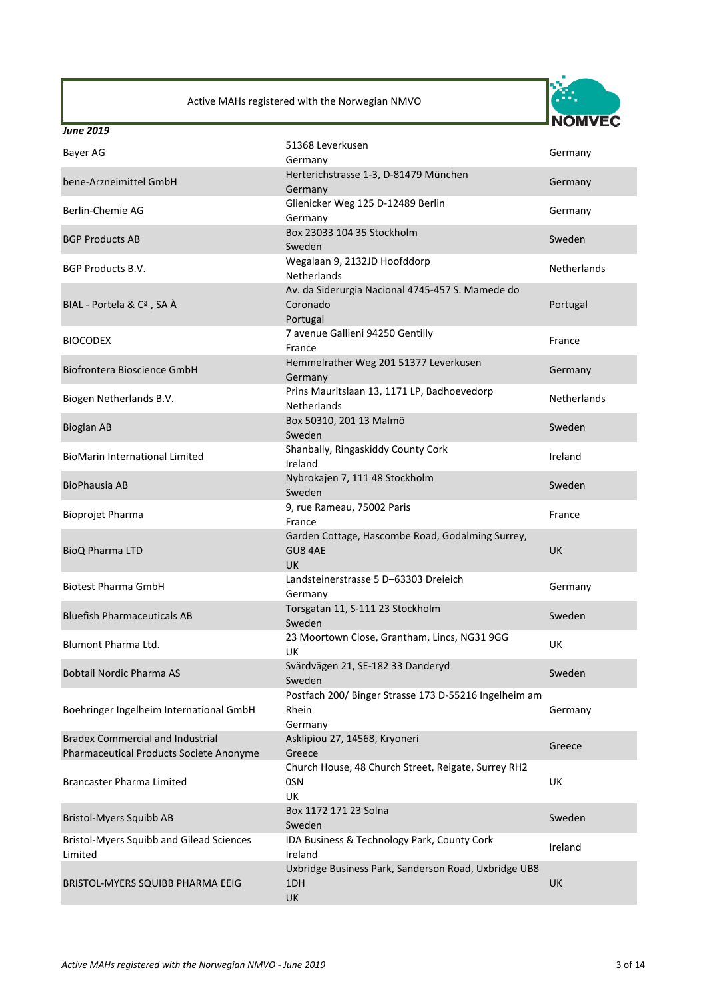

| Bayer AG                                                                           | 51368 Leverkusen<br>Germany                                                                    | Germany            |
|------------------------------------------------------------------------------------|------------------------------------------------------------------------------------------------|--------------------|
| bene-Arzneimittel GmbH                                                             | Herterichstrasse 1-3, D-81479 München<br>Germany                                               | Germany            |
| Berlin-Chemie AG                                                                   | Glienicker Weg 125 D-12489 Berlin<br>Germany                                                   | Germany            |
| <b>BGP Products AB</b>                                                             | Box 23033 104 35 Stockholm<br>Sweden                                                           | Sweden             |
| <b>BGP Products B.V.</b>                                                           | Wegalaan 9, 2132JD Hoofddorp<br><b>Netherlands</b>                                             | <b>Netherlands</b> |
| BIAL - Portela & Cª, SA À                                                          | Av. da Siderurgia Nacional 4745-457 S. Mamede do<br>Coronado<br>Portugal                       | Portugal           |
| <b>BIOCODEX</b>                                                                    | 7 avenue Gallieni 94250 Gentilly<br>France                                                     | France             |
| Biofrontera Bioscience GmbH                                                        | Hemmelrather Weg 201 51377 Leverkusen<br>Germany                                               | Germany            |
| Biogen Netherlands B.V.                                                            | Prins Mauritslaan 13, 1171 LP, Badhoevedorp<br><b>Netherlands</b>                              | <b>Netherlands</b> |
| <b>Bioglan AB</b>                                                                  | Box 50310, 201 13 Malmö<br>Sweden                                                              | Sweden             |
| <b>BioMarin International Limited</b>                                              | Shanbally, Ringaskiddy County Cork<br>Ireland                                                  | Ireland            |
| <b>BioPhausia AB</b>                                                               | Nybrokajen 7, 111 48 Stockholm<br>Sweden                                                       | Sweden             |
| <b>Bioprojet Pharma</b>                                                            | 9, rue Rameau, 75002 Paris<br>France                                                           | France             |
| <b>BioQ Pharma LTD</b>                                                             | Garden Cottage, Hascombe Road, Godalming Surrey,<br>GU8 4AE<br>UK                              | <b>UK</b>          |
| <b>Biotest Pharma GmbH</b>                                                         | Landsteinerstrasse 5 D-63303 Dreieich<br>Germany                                               | Germany            |
| <b>Bluefish Pharmaceuticals AB</b>                                                 | Torsgatan 11, S-111 23 Stockholm<br>Sweden                                                     | Sweden             |
| Blumont Pharma Ltd.                                                                | 23 Moortown Close, Grantham, Lincs, NG31 9GG<br>UK                                             | UK                 |
| <b>Bobtail Nordic Pharma AS</b>                                                    | Svärdvägen 21, SE-182 33 Danderyd<br>Sweden                                                    | Sweden             |
| Boehringer Ingelheim International GmbH                                            | Postfach 200/ Binger Strasse 173 D-55216 Ingelheim am<br>Rhein<br>Germany                      | Germany            |
| <b>Bradex Commercial and Industrial</b><br>Pharmaceutical Products Societe Anonyme | Asklipiou 27, 14568, Kryoneri<br>Greece<br>Church House, 48 Church Street, Reigate, Surrey RH2 | Greece             |
| <b>Brancaster Pharma Limited</b>                                                   | 0SN<br>UK                                                                                      | UK                 |
| <b>Bristol-Myers Squibb AB</b>                                                     | Box 1172 171 23 Solna<br>Sweden                                                                | Sweden             |
| <b>Bristol-Myers Squibb and Gilead Sciences</b><br>Limited                         | IDA Business & Technology Park, County Cork<br>Ireland                                         | Ireland            |
| BRISTOL-MYERS SQUIBB PHARMA EEIG                                                   | Uxbridge Business Park, Sanderson Road, Uxbridge UB8<br>1DH<br>UK                              | UK                 |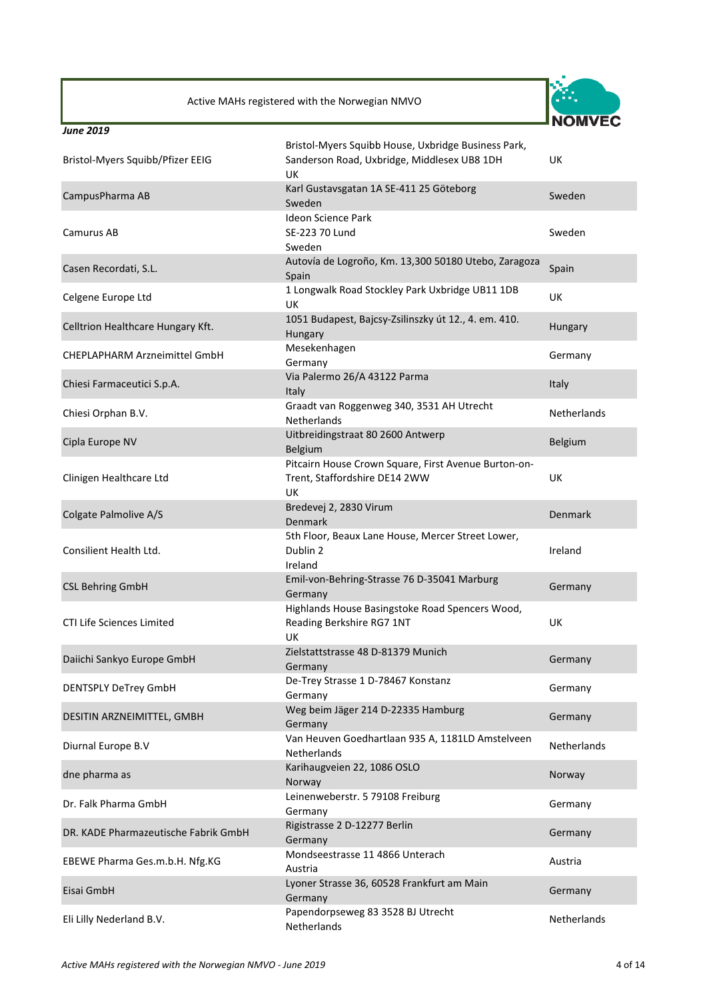

| Bristol-Myers Squibb/Pfizer EEIG     | Bristol-Myers Squibb House, Uxbridge Business Park,<br>Sanderson Road, Uxbridge, Middlesex UB8 1DH<br><b>UK</b> | UK                 |
|--------------------------------------|-----------------------------------------------------------------------------------------------------------------|--------------------|
| CampusPharma AB                      | Karl Gustavsgatan 1A SE-411 25 Göteborg<br>Sweden                                                               | Sweden             |
| Camurus AB                           | <b>Ideon Science Park</b><br>SE-223 70 Lund<br>Sweden                                                           | Sweden             |
| Casen Recordati, S.L.                | Autovía de Logroño, Km. 13,300 50180 Utebo, Zaragoza<br>Spain                                                   | Spain              |
| Celgene Europe Ltd                   | 1 Longwalk Road Stockley Park Uxbridge UB11 1DB<br><b>UK</b>                                                    | UK                 |
| Celltrion Healthcare Hungary Kft.    | 1051 Budapest, Bajcsy-Zsilinszky út 12., 4. em. 410.<br>Hungary                                                 | Hungary            |
| <b>CHEPLAPHARM Arzneimittel GmbH</b> | Mesekenhagen<br>Germany                                                                                         | Germany            |
| Chiesi Farmaceutici S.p.A.           | Via Palermo 26/A 43122 Parma<br>Italy                                                                           | Italy              |
| Chiesi Orphan B.V.                   | Graadt van Roggenweg 340, 3531 AH Utrecht<br><b>Netherlands</b>                                                 | <b>Netherlands</b> |
| Cipla Europe NV                      | Uitbreidingstraat 80 2600 Antwerp<br>Belgium                                                                    | Belgium            |
| Clinigen Healthcare Ltd              | Pitcairn House Crown Square, First Avenue Burton-on-<br>Trent, Staffordshire DE14 2WW<br>UK                     | UK                 |
| Colgate Palmolive A/S                | Bredevej 2, 2830 Virum<br>Denmark                                                                               | Denmark            |
| Consilient Health Ltd.               | 5th Floor, Beaux Lane House, Mercer Street Lower,<br>Dublin 2<br>Ireland                                        | Ireland            |
| <b>CSL Behring GmbH</b>              | Emil-von-Behring-Strasse 76 D-35041 Marburg<br>Germany                                                          | Germany            |
| CTI Life Sciences Limited            | Highlands House Basingstoke Road Spencers Wood,<br>Reading Berkshire RG7 1NT<br><b>UK</b>                       | UK                 |
| Daiichi Sankyo Europe GmbH           | Zielstattstrasse 48 D-81379 Munich<br>Germany                                                                   | Germany            |
| <b>DENTSPLY DeTrey GmbH</b>          | De-Trey Strasse 1 D-78467 Konstanz<br>Germany                                                                   | Germany            |
| DESITIN ARZNEIMITTEL, GMBH           | Weg beim Jäger 214 D-22335 Hamburg<br>Germany                                                                   | Germany            |
| Diurnal Europe B.V                   | Van Heuven Goedhartlaan 935 A, 1181LD Amstelveen<br><b>Netherlands</b>                                          | <b>Netherlands</b> |
| dne pharma as                        | Karihaugveien 22, 1086 OSLO<br>Norway                                                                           | Norway             |
| Dr. Falk Pharma GmbH                 | Leinenweberstr. 5 79108 Freiburg<br>Germany                                                                     | Germany            |
| DR. KADE Pharmazeutische Fabrik GmbH | Rigistrasse 2 D-12277 Berlin<br>Germany                                                                         | Germany            |
| EBEWE Pharma Ges.m.b.H. Nfg.KG       | Mondseestrasse 11 4866 Unterach<br>Austria                                                                      | Austria            |
| Eisai GmbH                           | Lyoner Strasse 36, 60528 Frankfurt am Main<br>Germany                                                           | Germany            |
| Eli Lilly Nederland B.V.             | Papendorpseweg 83 3528 BJ Utrecht<br>Netherlands                                                                | Netherlands        |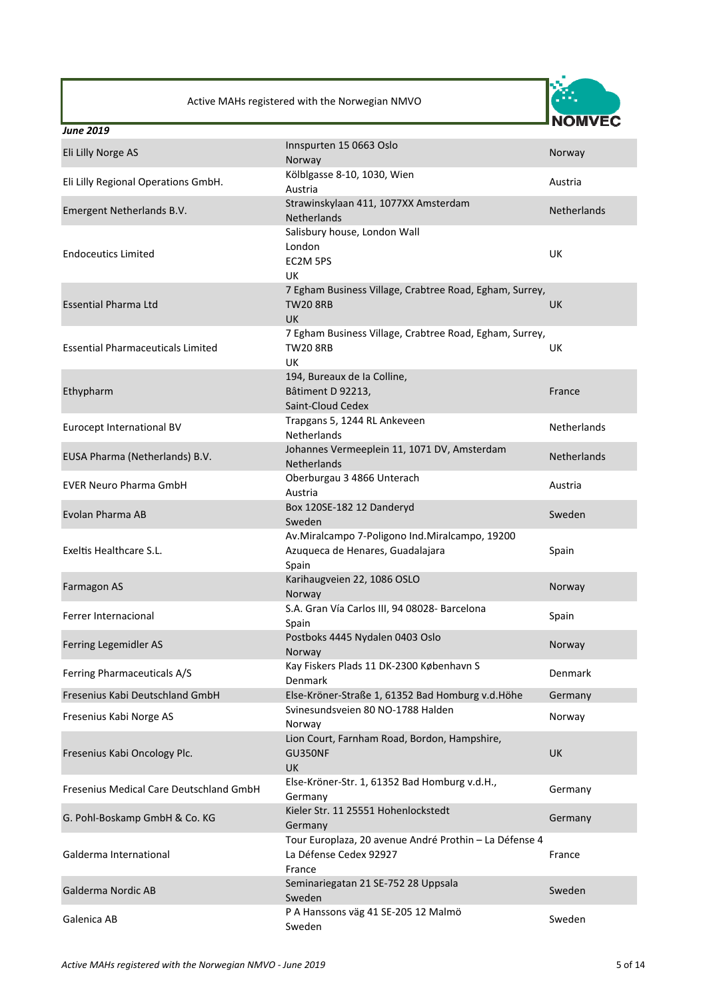

| <b>June 2019</b>                         |                                                                                                          |                    |
|------------------------------------------|----------------------------------------------------------------------------------------------------------|--------------------|
| Eli Lilly Norge AS                       | Innspurten 15 0663 Oslo<br>Norway                                                                        | Norway             |
| Eli Lilly Regional Operations GmbH.      | Kölblgasse 8-10, 1030, Wien<br>Austria                                                                   | Austria            |
| Emergent Netherlands B.V.                | Strawinskylaan 411, 1077XX Amsterdam<br>Netherlands                                                      | <b>Netherlands</b> |
| <b>Endoceutics Limited</b>               | Salisbury house, London Wall<br>London<br>EC2M 5PS<br><b>UK</b>                                          | UK                 |
| <b>Essential Pharma Ltd</b>              | 7 Egham Business Village, Crabtree Road, Egham, Surrey,<br><b>TW20 8RB</b><br><b>UK</b>                  | <b>UK</b>          |
| <b>Essential Pharmaceuticals Limited</b> | 7 Egham Business Village, Crabtree Road, Egham, Surrey,<br><b>TW20 8RB</b><br><b>UK</b>                  | UK                 |
| Ethypharm                                | 194, Bureaux de la Colline,<br>Bâtiment D 92213,<br>Saint-Cloud Cedex                                    | France             |
| Eurocept International BV                | Trapgans 5, 1244 RL Ankeveen<br><b>Netherlands</b>                                                       | <b>Netherlands</b> |
| EUSA Pharma (Netherlands) B.V.           | Johannes Vermeeplein 11, 1071 DV, Amsterdam<br>Netherlands                                               | <b>Netherlands</b> |
| <b>EVER Neuro Pharma GmbH</b>            | Oberburgau 3 4866 Unterach<br>Austria                                                                    | Austria            |
| Evolan Pharma AB                         | Box 120SE-182 12 Danderyd<br>Sweden                                                                      | Sweden             |
| Exeltis Healthcare S.L.                  | Av.Miralcampo 7-Poligono Ind.Miralcampo, 19200<br>Azuqueca de Henares, Guadalajara<br>Spain              | Spain              |
| Farmagon AS                              | Karihaugveien 22, 1086 OSLO<br>Norway                                                                    | Norway             |
| Ferrer Internacional                     | S.A. Gran Vía Carlos III, 94 08028- Barcelona<br>Spain                                                   | Spain              |
| Ferring Legemidler AS                    | Postboks 4445 Nydalen 0403 Oslo<br>Norway                                                                | Norway             |
| Ferring Pharmaceuticals A/S              | Kay Fiskers Plads 11 DK-2300 København S<br>Denmark                                                      | Denmark            |
| Fresenius Kabi Deutschland GmbH          | Else-Kröner-Straße 1, 61352 Bad Homburg v.d.Höhe                                                         | Germany            |
| Fresenius Kabi Norge AS                  | Svinesundsveien 80 NO-1788 Halden<br>Norway                                                              | Norway             |
| Fresenius Kabi Oncology Plc.             | Lion Court, Farnham Road, Bordon, Hampshire,<br>GU350NF<br>UK                                            | <b>UK</b>          |
| Fresenius Medical Care Deutschland GmbH  | Else-Kröner-Str. 1, 61352 Bad Homburg v.d.H.,<br>Germany                                                 | Germany            |
| G. Pohl-Boskamp GmbH & Co. KG            | Kieler Str. 11 25551 Hohenlockstedt<br>Germany<br>Tour Europlaza, 20 avenue André Prothin - La Défense 4 | Germany            |
| Galderma International                   | La Défense Cedex 92927<br>France                                                                         | France             |
| Galderma Nordic AB                       | Seminariegatan 21 SE-752 28 Uppsala<br>Sweden                                                            | Sweden             |
| Galenica AB                              | P A Hanssons väg 41 SE-205 12 Malmö<br>Sweden                                                            | Sweden             |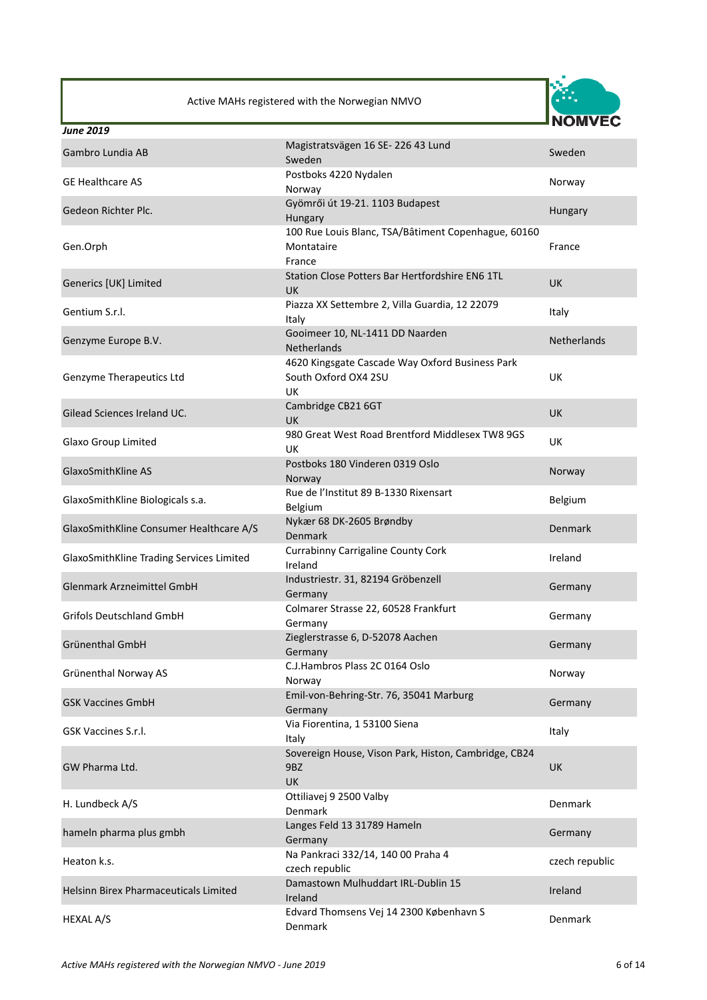

| <b>June 2019</b>                         |                                                                                      |                    |
|------------------------------------------|--------------------------------------------------------------------------------------|--------------------|
| Gambro Lundia AB                         | Magistratsvägen 16 SE-226 43 Lund<br>Sweden                                          | Sweden             |
| <b>GE Healthcare AS</b>                  | Postboks 4220 Nydalen<br>Norway                                                      | Norway             |
| Gedeon Richter Plc.                      | Gyömrői út 19-21. 1103 Budapest<br>Hungary                                           | Hungary            |
| Gen.Orph                                 | 100 Rue Louis Blanc, TSA/Bâtiment Copenhague, 60160<br>Montataire<br>France          | France             |
| Generics [UK] Limited                    | Station Close Potters Bar Hertfordshire EN6 1TL<br><b>UK</b>                         | <b>UK</b>          |
| Gentium S.r.l.                           | Piazza XX Settembre 2, Villa Guardia, 12 22079<br>Italy                              | Italy              |
| Genzyme Europe B.V.                      | Gooimeer 10, NL-1411 DD Naarden<br>Netherlands                                       | <b>Netherlands</b> |
| Genzyme Therapeutics Ltd                 | 4620 Kingsgate Cascade Way Oxford Business Park<br>South Oxford OX4 2SU<br><b>UK</b> | UK                 |
| Gilead Sciences Ireland UC.              | Cambridge CB21 6GT<br>UK                                                             | <b>UK</b>          |
| Glaxo Group Limited                      | 980 Great West Road Brentford Middlesex TW8 9GS<br>UK                                | UK                 |
| GlaxoSmithKline AS                       | Postboks 180 Vinderen 0319 Oslo<br>Norway                                            | Norway             |
| GlaxoSmithKline Biologicals s.a.         | Rue de l'Institut 89 B-1330 Rixensart<br>Belgium                                     | Belgium            |
| GlaxoSmithKline Consumer Healthcare A/S  | Nykær 68 DK-2605 Brøndby<br>Denmark                                                  | Denmark            |
| GlaxoSmithKline Trading Services Limited | <b>Currabinny Carrigaline County Cork</b><br>Ireland                                 | Ireland            |
| Glenmark Arzneimittel GmbH               | Industriestr. 31, 82194 Gröbenzell<br>Germany                                        | Germany            |
| <b>Grifols Deutschland GmbH</b>          | Colmarer Strasse 22, 60528 Frankfurt<br>Germany                                      | Germany            |
| Grünenthal GmbH                          | Zieglerstrasse 6, D-52078 Aachen<br>Germany                                          | Germany            |
| Grünenthal Norway AS                     | C.J.Hambros Plass 2C 0164 Oslo<br>Norway                                             | Norway             |
| <b>GSK Vaccines GmbH</b>                 | Emil-von-Behring-Str. 76, 35041 Marburg<br>Germany                                   | Germany            |
| GSK Vaccines S.r.l.                      | Via Fiorentina, 1 53100 Siena<br>Italy                                               | Italy              |
| GW Pharma Ltd.                           | Sovereign House, Vison Park, Histon, Cambridge, CB24<br>9BZ<br>UK                    | UK                 |
| H. Lundbeck A/S                          | Ottiliavej 9 2500 Valby<br>Denmark                                                   | Denmark            |
| hameln pharma plus gmbh                  | Langes Feld 13 31789 Hameln<br>Germany                                               | Germany            |
| Heaton k.s.                              | Na Pankraci 332/14, 140 00 Praha 4<br>czech republic                                 | czech republic     |
| Helsinn Birex Pharmaceuticals Limited    | Damastown Mulhuddart IRL-Dublin 15<br>Ireland                                        | Ireland            |
| HEXAL A/S                                | Edvard Thomsens Vej 14 2300 København S<br>Denmark                                   | Denmark            |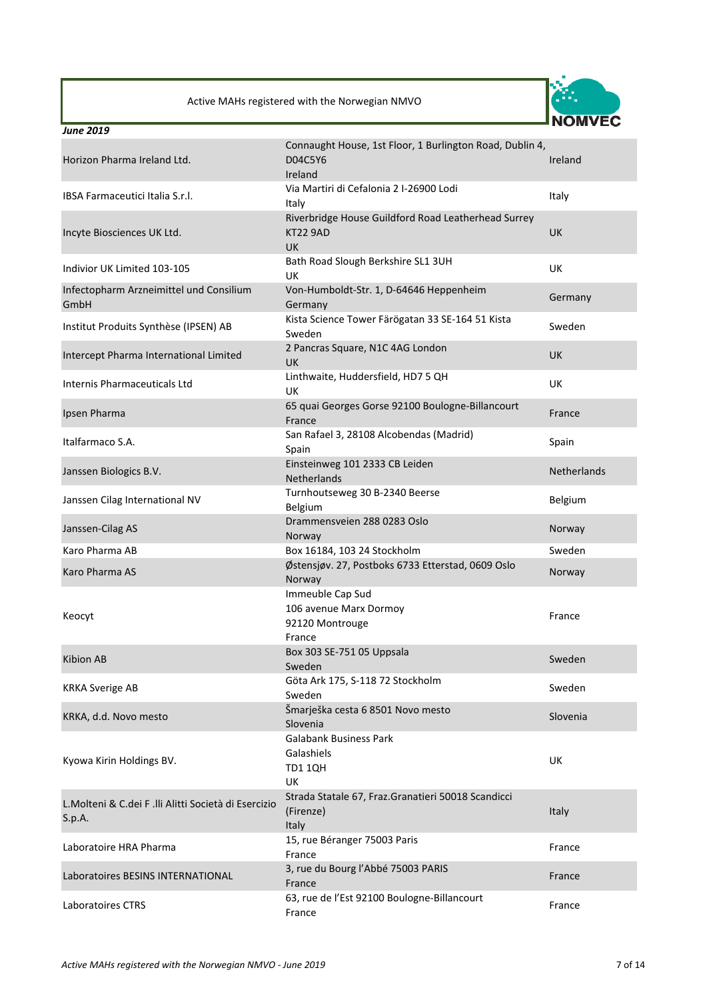

| <b>June 2019</b>                                                |                                                                                     |             |
|-----------------------------------------------------------------|-------------------------------------------------------------------------------------|-------------|
| Horizon Pharma Ireland Ltd.                                     | Connaught House, 1st Floor, 1 Burlington Road, Dublin 4,<br>D04C5Y6<br>Ireland      | Ireland     |
| IBSA Farmaceutici Italia S.r.l.                                 | Via Martiri di Cefalonia 2 I-26900 Lodi<br>Italy                                    | Italy       |
| Incyte Biosciences UK Ltd.                                      | Riverbridge House Guildford Road Leatherhead Surrey<br><b>KT22 9AD</b><br><b>UK</b> | <b>UK</b>   |
| Indivior UK Limited 103-105                                     | Bath Road Slough Berkshire SL1 3UH<br>UK                                            | <b>UK</b>   |
| Infectopharm Arzneimittel und Consilium<br>GmbH                 | Von-Humboldt-Str. 1, D-64646 Heppenheim<br>Germany                                  | Germany     |
| Institut Produits Synthèse (IPSEN) AB                           | Kista Science Tower Färögatan 33 SE-164 51 Kista<br>Sweden                          | Sweden      |
| Intercept Pharma International Limited                          | 2 Pancras Square, N1C 4AG London<br>UK                                              | <b>UK</b>   |
| <b>Internis Pharmaceuticals Ltd</b>                             | Linthwaite, Huddersfield, HD7 5 QH<br>UK                                            | <b>UK</b>   |
| Ipsen Pharma                                                    | 65 quai Georges Gorse 92100 Boulogne-Billancourt<br>France                          | France      |
| Italfarmaco S.A.                                                | San Rafael 3, 28108 Alcobendas (Madrid)<br>Spain                                    | Spain       |
| Janssen Biologics B.V.                                          | Einsteinweg 101 2333 CB Leiden<br><b>Netherlands</b>                                | Netherlands |
| Janssen Cilag International NV                                  | Turnhoutseweg 30 B-2340 Beerse<br><b>Belgium</b>                                    | Belgium     |
| Janssen-Cilag AS                                                | Drammensveien 288 0283 Oslo<br>Norway                                               | Norway      |
| Karo Pharma AB                                                  | Box 16184, 103 24 Stockholm                                                         | Sweden      |
| Karo Pharma AS                                                  | Østensjøv. 27, Postboks 6733 Etterstad, 0609 Oslo<br>Norway                         | Norway      |
| Keocyt                                                          | Immeuble Cap Sud<br>106 avenue Marx Dormoy<br>92120 Montrouge<br>France             | France      |
| Kibion AB                                                       | Box 303 SE-751 05 Uppsala<br>Sweden                                                 | Sweden      |
| <b>KRKA Sverige AB</b>                                          | Göta Ark 175, S-118 72 Stockholm<br>Sweden                                          | Sweden      |
| KRKA, d.d. Novo mesto                                           | Šmarješka cesta 6 8501 Novo mesto<br>Slovenia                                       | Slovenia    |
| Kyowa Kirin Holdings BV.                                        | <b>Galabank Business Park</b><br>Galashiels<br><b>TD1 1QH</b><br>UK                 | UK          |
| L. Molteni & C.dei F .lli Alitti Società di Esercizio<br>S.p.A. | Strada Statale 67, Fraz. Granatieri 50018 Scandicci<br>(Firenze)<br>Italy           | Italy       |
| Laboratoire HRA Pharma                                          | 15, rue Béranger 75003 Paris<br>France                                              | France      |
| Laboratoires BESINS INTERNATIONAL                               | 3, rue du Bourg l'Abbé 75003 PARIS<br>France                                        | France      |
| Laboratoires CTRS                                               | 63, rue de l'Est 92100 Boulogne-Billancourt<br>France                               | France      |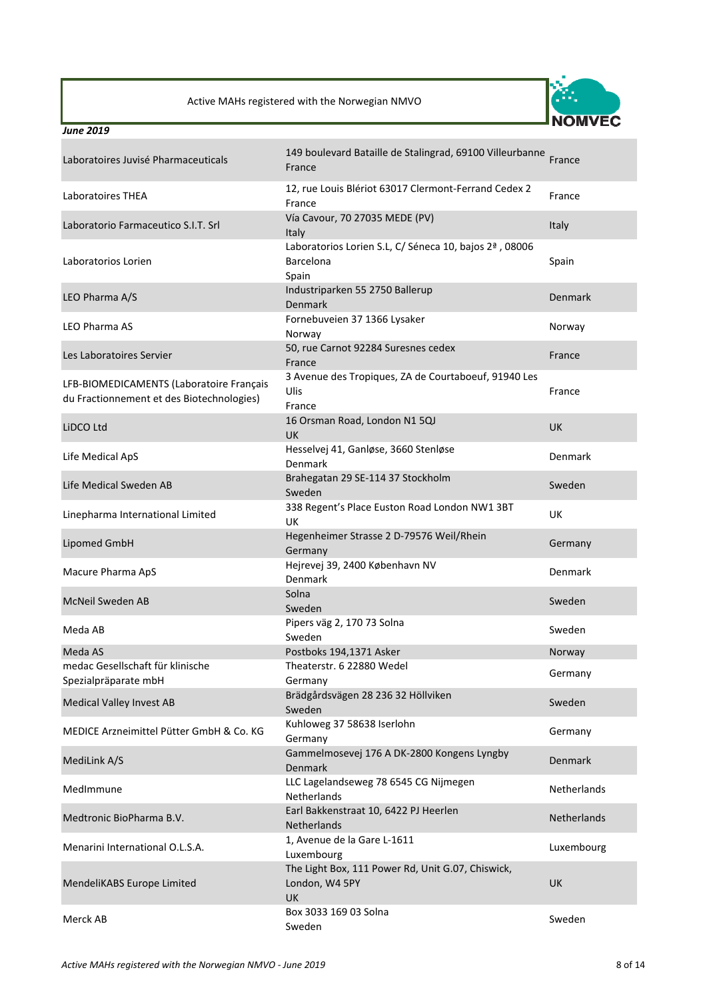

| Laboratoires Juvisé Pharmaceuticals                                                   | 149 boulevard Bataille de Stalingrad, 69100 Villeurbanne<br>France               | France         |
|---------------------------------------------------------------------------------------|----------------------------------------------------------------------------------|----------------|
| Laboratoires THEA                                                                     | 12, rue Louis Blériot 63017 Clermont-Ferrand Cedex 2<br>France                   | France         |
| Laboratorio Farmaceutico S.I.T. Srl                                                   | Vía Cavour, 70 27035 MEDE (PV)<br>Italy                                          | Italy          |
| Laboratorios Lorien                                                                   | Laboratorios Lorien S.L, C/ Séneca 10, bajos 2ª, 08006<br>Barcelona<br>Spain     | Spain          |
| LEO Pharma A/S                                                                        | Industriparken 55 2750 Ballerup<br>Denmark                                       | <b>Denmark</b> |
| <b>LEO Pharma AS</b>                                                                  | Fornebuveien 37 1366 Lysaker<br>Norway                                           | Norway         |
| Les Laboratoires Servier                                                              | 50, rue Carnot 92284 Suresnes cedex<br>France                                    | France         |
| LFB-BIOMEDICAMENTS (Laboratoire Français<br>du Fractionnement et des Biotechnologies) | 3 Avenue des Tropiques, ZA de Courtaboeuf, 91940 Les<br>Ulis<br>France           | France         |
| LiDCO Ltd                                                                             | 16 Orsman Road, London N1 5QJ<br><b>UK</b>                                       | <b>UK</b>      |
| Life Medical ApS                                                                      | Hesselvej 41, Ganløse, 3660 Stenløse<br>Denmark                                  | Denmark        |
| Life Medical Sweden AB                                                                | Brahegatan 29 SE-114 37 Stockholm<br>Sweden                                      | Sweden         |
| Linepharma International Limited                                                      | 338 Regent's Place Euston Road London NW1 3BT<br><b>UK</b>                       | <b>UK</b>      |
| Lipomed GmbH                                                                          | Hegenheimer Strasse 2 D-79576 Weil/Rhein<br>Germany                              | Germany        |
| Macure Pharma ApS                                                                     | Hejrevej 39, 2400 København NV<br>Denmark                                        | Denmark        |
| McNeil Sweden AB                                                                      | Solna<br>Sweden                                                                  | Sweden         |
| Meda AB                                                                               | Pipers väg 2, 170 73 Solna<br>Sweden                                             | Sweden         |
| Meda AS                                                                               | Postboks 194,1371 Asker                                                          | Norway         |
| medac Gesellschaft für klinische                                                      | Theaterstr. 6 22880 Wedel                                                        | Germany        |
| Spezialpräparate mbH                                                                  | Germany                                                                          |                |
| <b>Medical Valley Invest AB</b>                                                       | Brädgårdsvägen 28 236 32 Höllviken<br>Sweden                                     | Sweden         |
| MEDICE Arzneimittel Pütter GmbH & Co. KG                                              | Kuhloweg 37 58638 Iserlohn<br>Germany                                            | Germany        |
| MediLink A/S                                                                          | Gammelmosevej 176 A DK-2800 Kongens Lyngby<br><b>Denmark</b>                     | <b>Denmark</b> |
| MedImmune                                                                             | LLC Lagelandseweg 78 6545 CG Nijmegen<br><b>Netherlands</b>                      | Netherlands    |
| Medtronic BioPharma B.V.                                                              | Earl Bakkenstraat 10, 6422 PJ Heerlen<br>Netherlands                             | Netherlands    |
| Menarini International O.L.S.A.                                                       | 1, Avenue de la Gare L-1611<br>Luxembourg                                        | Luxembourg     |
| MendeliKABS Europe Limited                                                            | The Light Box, 111 Power Rd, Unit G.07, Chiswick,<br>London, W4 5PY<br><b>UK</b> | <b>UK</b>      |
| Merck AB                                                                              | Box 3033 169 03 Solna<br>Sweden                                                  | Sweden         |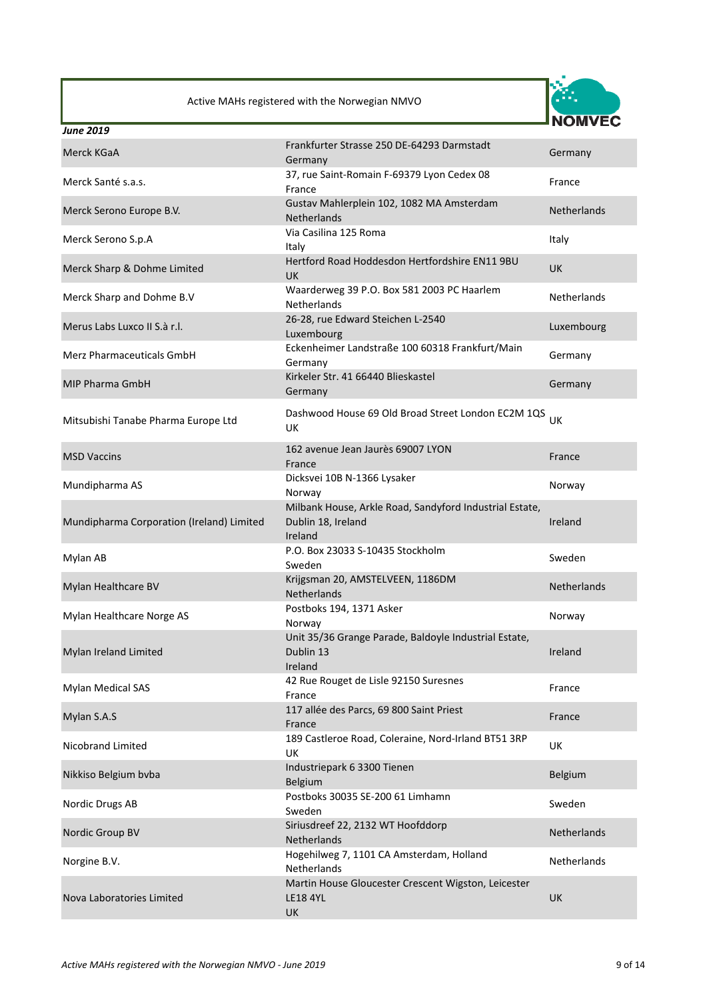

| <b>June 2019</b>                          |                                                                                          |                    |
|-------------------------------------------|------------------------------------------------------------------------------------------|--------------------|
| Merck KGaA                                | Frankfurter Strasse 250 DE-64293 Darmstadt<br>Germany                                    | Germany            |
| Merck Santé s.a.s.                        | 37, rue Saint-Romain F-69379 Lyon Cedex 08<br>France                                     | France             |
| Merck Serono Europe B.V.                  | Gustav Mahlerplein 102, 1082 MA Amsterdam<br>Netherlands                                 | <b>Netherlands</b> |
| Merck Serono S.p.A                        | Via Casilina 125 Roma<br>Italy                                                           | Italy              |
| Merck Sharp & Dohme Limited               | Hertford Road Hoddesdon Hertfordshire EN11 9BU<br><b>UK</b>                              | <b>UK</b>          |
| Merck Sharp and Dohme B.V                 | Waarderweg 39 P.O. Box 581 2003 PC Haarlem<br><b>Netherlands</b>                         | Netherlands        |
| Merus Labs Luxco II S.à r.l.              | 26-28, rue Edward Steichen L-2540<br>Luxembourg                                          | Luxembourg         |
| Merz Pharmaceuticals GmbH                 | Eckenheimer Landstraße 100 60318 Frankfurt/Main<br>Germany                               | Germany            |
| MIP Pharma GmbH                           | Kirkeler Str. 41 66440 Blieskastel<br>Germany                                            | Germany            |
| Mitsubishi Tanabe Pharma Europe Ltd       | Dashwood House 69 Old Broad Street London EC2M 1QS<br>UK                                 | UK                 |
| <b>MSD Vaccins</b>                        | 162 avenue Jean Jaurès 69007 LYON<br>France                                              | France             |
| Mundipharma AS                            | Dicksvei 10B N-1366 Lysaker<br>Norway                                                    | Norway             |
| Mundipharma Corporation (Ireland) Limited | Milbank House, Arkle Road, Sandyford Industrial Estate,<br>Dublin 18, Ireland<br>Ireland | Ireland            |
| Mylan AB                                  | P.O. Box 23033 S-10435 Stockholm<br>Sweden                                               | Sweden             |
| Mylan Healthcare BV                       | Krijgsman 20, AMSTELVEEN, 1186DM<br><b>Netherlands</b>                                   | <b>Netherlands</b> |
| Mylan Healthcare Norge AS                 | Postboks 194, 1371 Asker<br>Norway                                                       | Norway             |
| Mylan Ireland Limited                     | Unit 35/36 Grange Parade, Baldoyle Industrial Estate,<br>Dublin 13<br>Ireland            | Ireland            |
| <b>Mylan Medical SAS</b>                  | 42 Rue Rouget de Lisle 92150 Suresnes<br>France                                          | France             |
| Mylan S.A.S                               | 117 allée des Parcs, 69 800 Saint Priest<br>France                                       | France             |
| Nicobrand Limited                         | 189 Castleroe Road, Coleraine, Nord-Irland BT51 3RP<br>UK                                | UK                 |
| Nikkiso Belgium bvba                      | Industriepark 6 3300 Tienen<br>Belgium                                                   | Belgium            |
| Nordic Drugs AB                           | Postboks 30035 SE-200 61 Limhamn<br>Sweden                                               | Sweden             |
| Nordic Group BV                           | Siriusdreef 22, 2132 WT Hoofddorp<br>Netherlands                                         | Netherlands        |
| Norgine B.V.                              | Hogehilweg 7, 1101 CA Amsterdam, Holland<br>Netherlands                                  | <b>Netherlands</b> |
| Nova Laboratories Limited                 | Martin House Gloucester Crescent Wigston, Leicester<br><b>LE18 4YL</b><br>UK             | UK                 |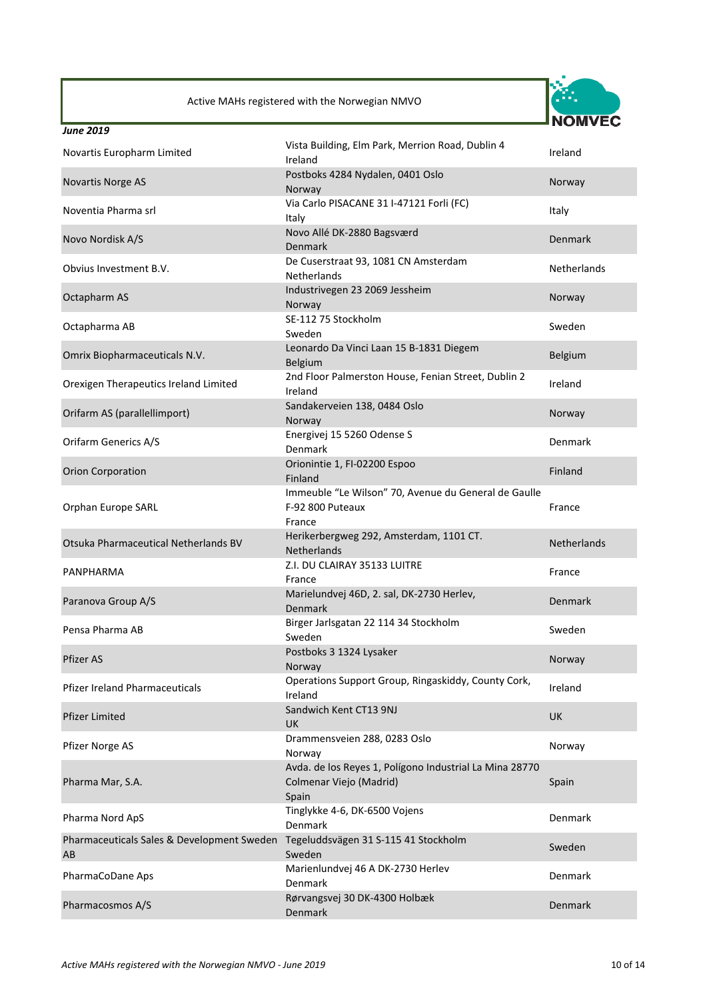

| Novartis Europharm Limited                                                            | Vista Building, Elm Park, Merrion Road, Dublin 4<br>Ireland                                 | Ireland            |
|---------------------------------------------------------------------------------------|---------------------------------------------------------------------------------------------|--------------------|
| Novartis Norge AS                                                                     | Postboks 4284 Nydalen, 0401 Oslo<br>Norway                                                  | Norway             |
| Noventia Pharma srl                                                                   | Via Carlo PISACANE 31 I-47121 Forli (FC)<br>Italy                                           | Italy              |
| Novo Nordisk A/S                                                                      | Novo Allé DK-2880 Bagsværd<br><b>Denmark</b>                                                | Denmark            |
| Obvius Investment B.V.                                                                | De Cuserstraat 93, 1081 CN Amsterdam<br><b>Netherlands</b>                                  | <b>Netherlands</b> |
| Octapharm AS                                                                          | Industrivegen 23 2069 Jessheim<br>Norway                                                    | Norway             |
| Octapharma AB                                                                         | SE-112 75 Stockholm<br>Sweden                                                               | Sweden             |
| Omrix Biopharmaceuticals N.V.                                                         | Leonardo Da Vinci Laan 15 B-1831 Diegem<br><b>Belgium</b>                                   | Belgium            |
| Orexigen Therapeutics Ireland Limited                                                 | 2nd Floor Palmerston House, Fenian Street, Dublin 2<br>Ireland                              | Ireland            |
| Orifarm AS (parallellimport)                                                          | Sandakerveien 138, 0484 Oslo<br>Norway                                                      | Norway             |
| <b>Orifarm Generics A/S</b>                                                           | Energivej 15 5260 Odense S<br>Denmark                                                       | Denmark            |
| <b>Orion Corporation</b>                                                              | Orionintie 1, FI-02200 Espoo<br>Finland                                                     | Finland            |
| Orphan Europe SARL                                                                    | Immeuble "Le Wilson" 70, Avenue du General de Gaulle<br>F-92 800 Puteaux<br>France          | France             |
| Otsuka Pharmaceutical Netherlands BV                                                  | Herikerbergweg 292, Amsterdam, 1101 CT.<br><b>Netherlands</b>                               | <b>Netherlands</b> |
| PANPHARMA                                                                             | Z.I. DU CLAIRAY 35133 LUITRE<br>France                                                      | France             |
| Paranova Group A/S                                                                    | Marielundvej 46D, 2. sal, DK-2730 Herlev,<br><b>Denmark</b>                                 | <b>Denmark</b>     |
| Pensa Pharma AB                                                                       | Birger Jarlsgatan 22 114 34 Stockholm<br>Sweden                                             | Sweden             |
| Pfizer AS                                                                             | Postboks 3 1324 Lysaker<br>Norway                                                           | Norway             |
| <b>Pfizer Ireland Pharmaceuticals</b>                                                 | Operations Support Group, Ringaskiddy, County Cork,<br>Ireland                              | Ireland            |
| <b>Pfizer Limited</b>                                                                 | Sandwich Kent CT13 9NJ<br><b>UK</b>                                                         | UK                 |
| Pfizer Norge AS                                                                       | Drammensveien 288, 0283 Oslo<br>Norway                                                      | Norway             |
| Pharma Mar, S.A.                                                                      | Avda. de los Reyes 1, Polígono Industrial La Mina 28770<br>Colmenar Viejo (Madrid)<br>Spain | Spain              |
| Pharma Nord ApS                                                                       | Tinglykke 4-6, DK-6500 Vojens<br>Denmark                                                    | Denmark            |
| Pharmaceuticals Sales & Development Sweden Tegeluddsvägen 31 S-115 41 Stockholm<br>AB | Sweden                                                                                      | Sweden             |
| PharmaCoDane Aps                                                                      | Marienlundvej 46 A DK-2730 Herlev<br>Denmark                                                | Denmark            |
| Pharmacosmos A/S                                                                      | Rørvangsvej 30 DK-4300 Holbæk<br>Denmark                                                    | Denmark            |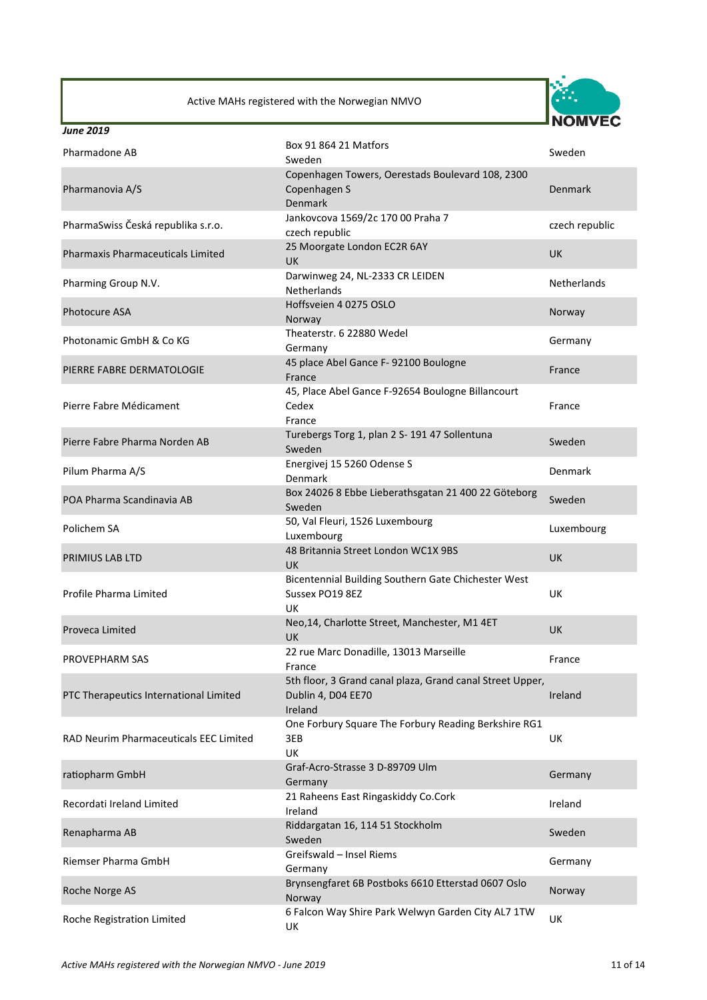

| <b>June 2019</b>                       |                                                                                            |                    |
|----------------------------------------|--------------------------------------------------------------------------------------------|--------------------|
| Pharmadone AB                          | Box 91 864 21 Matfors<br>Sweden                                                            | Sweden             |
| Pharmanovia A/S                        | Copenhagen Towers, Oerestads Boulevard 108, 2300<br>Copenhagen S<br>Denmark                | <b>Denmark</b>     |
| PharmaSwiss Česká republika s.r.o.     | Jankovcova 1569/2c 170 00 Praha 7<br>czech republic                                        | czech republic     |
| Pharmaxis Pharmaceuticals Limited      | 25 Moorgate London EC2R 6AY<br>UK                                                          | <b>UK</b>          |
| Pharming Group N.V.                    | Darwinweg 24, NL-2333 CR LEIDEN<br>Netherlands                                             | <b>Netherlands</b> |
| <b>Photocure ASA</b>                   | Hoffsveien 4 0275 OSLO<br>Norway                                                           | Norway             |
| Photonamic GmbH & Co KG                | Theaterstr. 6 22880 Wedel<br>Germany                                                       | Germany            |
| PIERRE FABRE DERMATOLOGIE              | 45 place Abel Gance F-92100 Boulogne<br>France                                             | France             |
| Pierre Fabre Médicament                | 45, Place Abel Gance F-92654 Boulogne Billancourt<br>Cedex<br>France                       | France             |
| Pierre Fabre Pharma Norden AB          | Turebergs Torg 1, plan 2 S- 191 47 Sollentuna<br>Sweden                                    | Sweden             |
| Pilum Pharma A/S                       | Energivej 15 5260 Odense S<br>Denmark                                                      | Denmark            |
| POA Pharma Scandinavia AB              | Box 24026 8 Ebbe Lieberathsgatan 21 400 22 Göteborg<br>Sweden                              | Sweden             |
| Polichem SA                            | 50, Val Fleuri, 1526 Luxembourg<br>Luxembourg                                              | Luxembourg         |
| PRIMIUS LAB LTD                        | 48 Britannia Street London WC1X 9BS<br>UK                                                  | <b>UK</b>          |
| Profile Pharma Limited                 | Bicentennial Building Southern Gate Chichester West<br>Sussex PO19 8EZ<br>UK               | UK                 |
| Proveca Limited                        | Neo, 14, Charlotte Street, Manchester, M1 4ET<br><b>UK</b>                                 | <b>UK</b>          |
| PROVEPHARM SAS                         | 22 rue Marc Donadille, 13013 Marseille<br>France                                           | France             |
| PTC Therapeutics International Limited | 5th floor, 3 Grand canal plaza, Grand canal Street Upper,<br>Dublin 4, D04 EE70<br>Ireland | Ireland            |
| RAD Neurim Pharmaceuticals EEC Limited | One Forbury Square The Forbury Reading Berkshire RG1<br>3EB<br><b>UK</b>                   | UK                 |
| ratiopharm GmbH                        | Graf-Acro-Strasse 3 D-89709 Ulm<br>Germany                                                 | Germany            |
| Recordati Ireland Limited              | 21 Raheens East Ringaskiddy Co.Cork<br>Ireland                                             | Ireland            |
| Renapharma AB                          | Riddargatan 16, 114 51 Stockholm<br>Sweden                                                 | Sweden             |
| Riemser Pharma GmbH                    | Greifswald - Insel Riems<br>Germany                                                        | Germany            |
| Roche Norge AS                         | Brynsengfaret 6B Postboks 6610 Etterstad 0607 Oslo<br>Norway                               | Norway             |
| Roche Registration Limited             | 6 Falcon Way Shire Park Welwyn Garden City AL7 1TW<br>UK                                   | UK                 |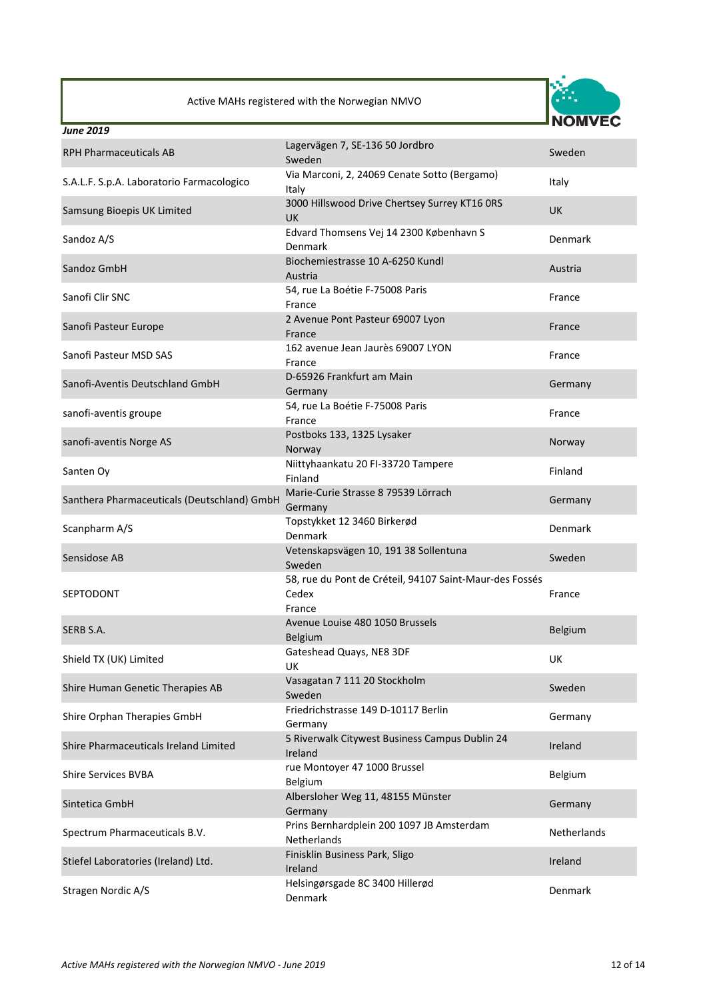

| <b>June 2019</b>                            |                                                                            | 1VIVI V LV  |
|---------------------------------------------|----------------------------------------------------------------------------|-------------|
| <b>RPH Pharmaceuticals AB</b>               | Lagervägen 7, SE-136 50 Jordbro<br>Sweden                                  | Sweden      |
| S.A.L.F. S.p.A. Laboratorio Farmacologico   | Via Marconi, 2, 24069 Cenate Sotto (Bergamo)<br>Italy                      | Italy       |
| Samsung Bioepis UK Limited                  | 3000 Hillswood Drive Chertsey Surrey KT16 ORS<br><b>UK</b>                 | <b>UK</b>   |
| Sandoz A/S                                  | Edvard Thomsens Vej 14 2300 København S<br>Denmark                         | Denmark     |
| Sandoz GmbH                                 | Biochemiestrasse 10 A-6250 Kundl<br>Austria                                | Austria     |
| Sanofi Clir SNC                             | 54, rue La Boétie F-75008 Paris<br>France                                  | France      |
| Sanofi Pasteur Europe                       | 2 Avenue Pont Pasteur 69007 Lyon<br>France                                 | France      |
| Sanofi Pasteur MSD SAS                      | 162 avenue Jean Jaurès 69007 LYON<br>France                                | France      |
| Sanofi-Aventis Deutschland GmbH             | D-65926 Frankfurt am Main<br>Germany                                       | Germany     |
| sanofi-aventis groupe                       | 54, rue La Boétie F-75008 Paris<br>France                                  | France      |
| sanofi-aventis Norge AS                     | Postboks 133, 1325 Lysaker<br>Norway                                       | Norway      |
| Santen Oy                                   | Niittyhaankatu 20 FI-33720 Tampere<br>Finland                              | Finland     |
| Santhera Pharmaceuticals (Deutschland) GmbH | Marie-Curie Strasse 8 79539 Lörrach<br>Germany                             | Germany     |
| Scanpharm A/S                               | Topstykket 12 3460 Birkerød<br>Denmark                                     | Denmark     |
| Sensidose AB                                | Vetenskapsvägen 10, 191 38 Sollentuna<br>Sweden                            | Sweden      |
| SEPTODONT                                   | 58, rue du Pont de Créteil, 94107 Saint-Maur-des Fossés<br>Cedex<br>France | France      |
| SERB S.A.                                   | Avenue Louise 480 1050 Brussels<br>Belgium                                 | Belgium     |
| Shield TX (UK) Limited                      | Gateshead Quays, NE8 3DF<br><b>UK</b>                                      | UK          |
| Shire Human Genetic Therapies AB            | Vasagatan 7 111 20 Stockholm<br>Sweden                                     | Sweden      |
| Shire Orphan Therapies GmbH                 | Friedrichstrasse 149 D-10117 Berlin<br>Germany                             | Germany     |
| Shire Pharmaceuticals Ireland Limited       | 5 Riverwalk Citywest Business Campus Dublin 24<br>Ireland                  | Ireland     |
| <b>Shire Services BVBA</b>                  | rue Montoyer 47 1000 Brussel<br>Belgium                                    | Belgium     |
| Sintetica GmbH                              | Albersloher Weg 11, 48155 Münster<br>Germany                               | Germany     |
| Spectrum Pharmaceuticals B.V.               | Prins Bernhardplein 200 1097 JB Amsterdam<br>Netherlands                   | Netherlands |
| Stiefel Laboratories (Ireland) Ltd.         | Finisklin Business Park, Sligo<br>Ireland                                  | Ireland     |
| Stragen Nordic A/S                          | Helsingørsgade 8C 3400 Hillerød<br>Denmark                                 | Denmark     |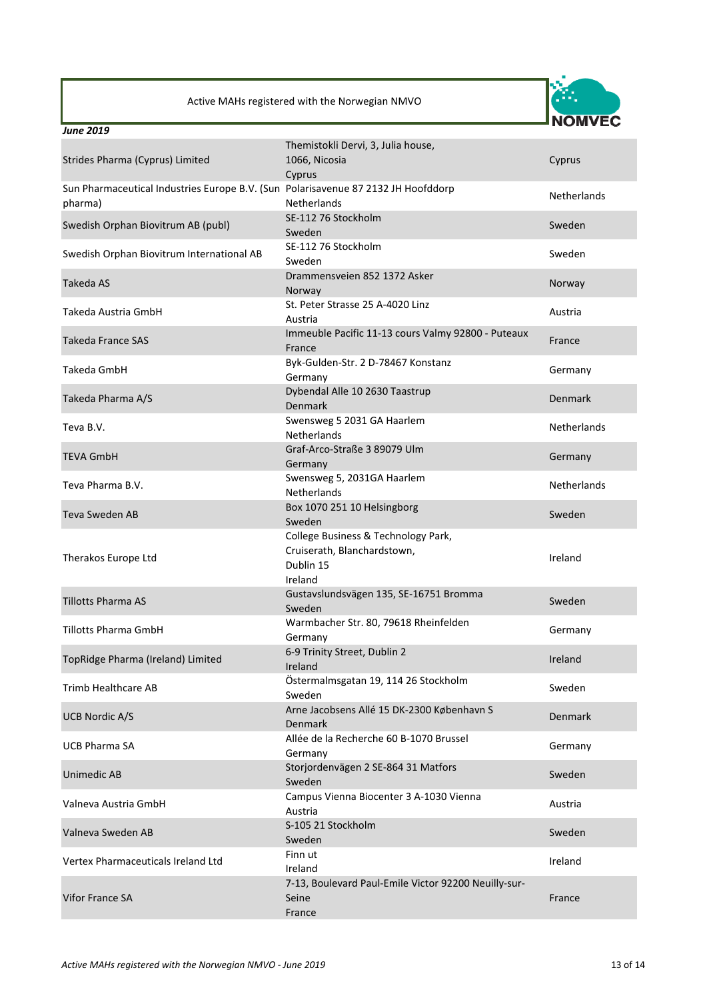

| <b>June 2019</b>                                                                             |                                                                                            |                    |
|----------------------------------------------------------------------------------------------|--------------------------------------------------------------------------------------------|--------------------|
|                                                                                              | Themistokli Dervi, 3, Julia house,                                                         |                    |
| Strides Pharma (Cyprus) Limited                                                              | 1066, Nicosia                                                                              | Cyprus             |
|                                                                                              | Cyprus                                                                                     |                    |
| Sun Pharmaceutical Industries Europe B.V. (Sun Polarisavenue 87 2132 JH Hoofddorp<br>pharma) | <b>Netherlands</b>                                                                         | <b>Netherlands</b> |
| Swedish Orphan Biovitrum AB (publ)                                                           | SE-112 76 Stockholm<br>Sweden                                                              | Sweden             |
| Swedish Orphan Biovitrum International AB                                                    | SE-112 76 Stockholm<br>Sweden                                                              | Sweden             |
| Takeda AS                                                                                    | Drammensveien 852 1372 Asker<br>Norway                                                     | Norway             |
| Takeda Austria GmbH                                                                          | St. Peter Strasse 25 A-4020 Linz<br>Austria                                                | Austria            |
| Takeda France SAS                                                                            | Immeuble Pacific 11-13 cours Valmy 92800 - Puteaux<br>France                               | France             |
| Takeda GmbH                                                                                  | Byk-Gulden-Str. 2 D-78467 Konstanz<br>Germany                                              | Germany            |
| Takeda Pharma A/S                                                                            | Dybendal Alle 10 2630 Taastrup<br><b>Denmark</b>                                           | Denmark            |
| Teva B.V.                                                                                    | Swensweg 5 2031 GA Haarlem<br><b>Netherlands</b>                                           | Netherlands        |
| <b>TEVA GmbH</b>                                                                             | Graf-Arco-Straße 3 89079 Ulm<br>Germany                                                    | Germany            |
| Teva Pharma B.V.                                                                             | Swensweg 5, 2031GA Haarlem<br><b>Netherlands</b>                                           | <b>Netherlands</b> |
| <b>Teva Sweden AB</b>                                                                        | Box 1070 251 10 Helsingborg<br>Sweden                                                      | Sweden             |
| Therakos Europe Ltd                                                                          | College Business & Technology Park,<br>Cruiserath, Blanchardstown,<br>Dublin 15<br>Ireland | Ireland            |
| <b>Tillotts Pharma AS</b>                                                                    | Gustavslundsvägen 135, SE-16751 Bromma<br>Sweden                                           | Sweden             |
| <b>Tillotts Pharma GmbH</b>                                                                  | Warmbacher Str. 80, 79618 Rheinfelden<br>Germany                                           | Germany            |
| TopRidge Pharma (Ireland) Limited                                                            | 6-9 Trinity Street, Dublin 2<br>Ireland                                                    | Ireland            |
| <b>Trimb Healthcare AB</b>                                                                   | Östermalmsgatan 19, 114 26 Stockholm<br>Sweden                                             | Sweden             |
| <b>UCB Nordic A/S</b>                                                                        | Arne Jacobsens Allé 15 DK-2300 København S<br><b>Denmark</b>                               | <b>Denmark</b>     |
| <b>UCB Pharma SA</b>                                                                         | Allée de la Recherche 60 B-1070 Brussel<br>Germany                                         | Germany            |
| Unimedic AB                                                                                  | Storjordenvägen 2 SE-864 31 Matfors<br>Sweden                                              | Sweden             |
| Valneva Austria GmbH                                                                         | Campus Vienna Biocenter 3 A-1030 Vienna<br>Austria                                         | Austria            |
| Valneva Sweden AB                                                                            | S-105 21 Stockholm<br>Sweden                                                               | Sweden             |
| Vertex Pharmaceuticals Ireland Ltd                                                           | Finn ut<br>Ireland                                                                         | Ireland            |
| <b>Vifor France SA</b>                                                                       | 7-13, Boulevard Paul-Emile Victor 92200 Neuilly-sur-<br>Seine<br>France                    | France             |